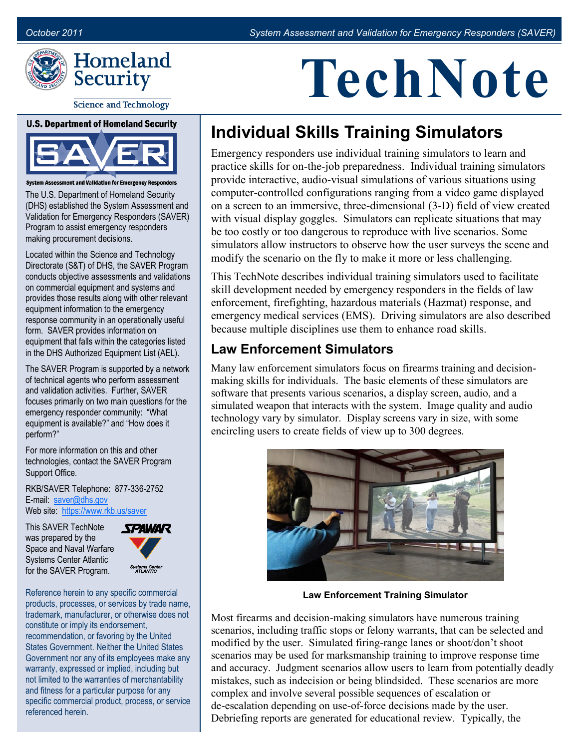

**Science and Technology** 

#### **U.S. Department of Homeland Security**



essment and Validation for Emergency Responders

The U.S. Department of Homeland Security (DHS) established the System Assessment and Validation for Emergency Responders (SAVER) Program to assist emergency responders making procurement decisions.

Located within the Science and Technology Directorate (S&T) of DHS, the SAVER Program conducts objective assessments and validations on commercial equipment and systems and provides those results along with other relevant equipment information to the emergency response community in an operationally useful form. SAVER provides information on equipment that falls within the categories listed in the DHS Authorized Equipment List (AEL).

The SAVER Program is supported by a network of technical agents who perform assessment and validation activities. Further, SAVER focuses primarily on two main questions for the emergency responder community: "What equipment is available?" and "How does it perform?"

For more information on this and other technologies, contact the SAVER Program Support Office.

RKB/SAVER Telephone: 877-336-2752 E-mail: [saver@dhs.gov](mailto:saver@dhs.gov) Web site: [https://www.rkb.us/saver](https://www.rkb.us/SAVER)

This SAVER TechNote was prepared by the Space and Naval Warfare Systems Center Atlantic for the SAVER Program.



Reference herein to any specific commercial products, processes, or services by trade name, trademark, manufacturer, or otherwise does not constitute or imply its endorsement, recommendation, or favoring by the United States Government. Neither the United States Government nor any of its employees make any warranty, expressed or implied, including but not limited to the warranties of merchantability and fitness for a particular purpose for any specific commercial product, process, or service referenced herein.

# **TechNote**

## **Individual Skills Training Simulators**

Emergency responders use individual training simulators to learn and practice skills for on-the-job preparedness. Individual training simulators provide interactive, audio-visual simulations of various situations using computer-controlled configurations ranging from a video game displayed on a screen to an immersive, three-dimensional (3-D) field of view created with visual display goggles. Simulators can replicate situations that may be too costly or too dangerous to reproduce with live scenarios. Some simulators allow instructors to observe how the user surveys the scene and modify the scenario on the fly to make it more or less challenging.

This TechNote describes individual training simulators used to facilitate skill development needed by emergency responders in the fields of law enforcement, firefighting, hazardous materials (Hazmat) response, and emergency medical services (EMS). Driving simulators are also described because multiple disciplines use them to enhance road skills.

#### **Law Enforcement Simulators**

Many law enforcement simulators focus on firearms training and decisionmaking skills for individuals. The basic elements of these simulators are software that presents various scenarios, a display screen, audio, and a simulated weapon that interacts with the system. Image quality and audio technology vary by simulator. Display screens vary in size, with some encircling users to create fields of view up to 300 degrees.



**Law Enforcement Training Simulator** 

Most firearms and decision-making simulators have numerous training scenarios, including traffic stops or felony warrants, that can be selected and modified by the user. Simulated firing-range lanes or shoot/don't shoot scenarios may be used for marksmanship training to improve response time and accuracy. Judgment scenarios allow users to learn from potentially deadly mistakes, such as indecision or being blindsided. These scenarios are more complex and involve several possible sequences of escalation or de-escalation depending on use-of-force decisions made by the user. Debriefing reports are generated for educational review. Typically, the